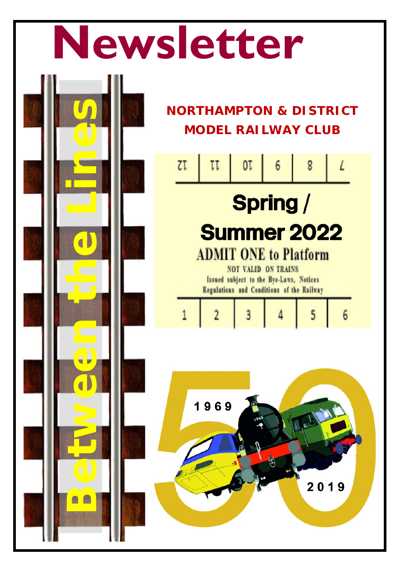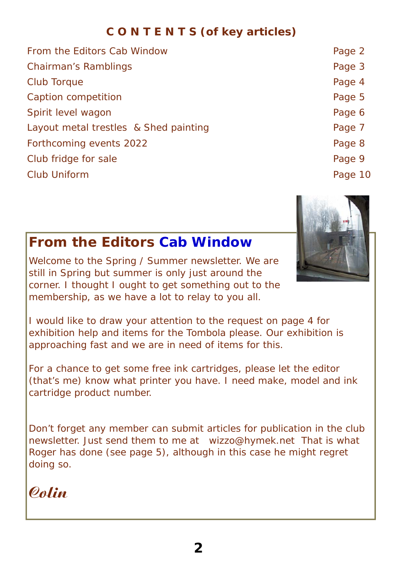#### **C O N T E N T S (of key articles)**

| From the Editors Cab Window           | Page 2  |
|---------------------------------------|---------|
| <b>Chairman's Ramblings</b>           | Page 3  |
| Club Torque                           | Page 4  |
| Caption competition                   | Page 5  |
| Spirit level wagon                    | Page 6  |
| Layout metal trestles & Shed painting | Page 7  |
| Forthcoming events 2022               | Page 8  |
| Club fridge for sale                  | Page 9  |
| <b>Club Uniform</b>                   | Page 10 |
|                                       |         |



#### **From the Editors Cab Window**

Welcome to the Spring / Summer newsletter. We are still in Spring but summer is only just around the corner. I thought I ought to get something out to the membership, as we have a lot to relay to you all.

I would like to draw your attention to the request on page 4 for exhibition help and items for the Tombola please. Our exhibition is approaching fast and we are in need of items for this.

For a chance to get some free ink cartridges, please let the editor (that's me) know what printer you have. I need make, model and ink cartridge product number.

Don't forget any member can submit articles for publication in the club newsletter. Just send them to me at *wizzo@hymek.net* That is what Roger has done (see page 5), although in this case he might regret doing so.

## Colin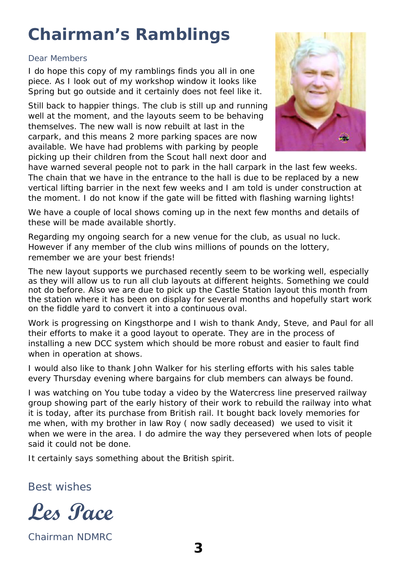## **Chairman's Ramblings**

#### Dear Members

I do hope this copy of my ramblings finds you all in one piece. As I look out of my workshop window it looks like Spring but go outside and it certainly does not feel like it.

Still back to happier things. The club is still up and running well at the moment, and the layouts seem to be behaving themselves. The new wall is now rebuilt at last in the carpark, and this means 2 more parking spaces are now available. We have had problems with parking by people picking up their children from the Scout hall next door and



have warned several people not to park in the hall carpark in the last few weeks. The chain that we have in the entrance to the hall is due to be replaced by a new vertical lifting barrier in the next few weeks and I am told is under construction at the moment. I do not know if the gate will be fitted with flashing warning lights!

We have a couple of local shows coming up in the next few months and details of these will be made available shortly.

Regarding my ongoing search for a new venue for the club, as usual no luck. However if any member of the club wins millions of pounds on the lottery, remember we are your best friends!

The new layout supports we purchased recently seem to be working well, especially as they will allow us to run all club layouts at different heights. Something we could not do before. Also we are due to pick up the Castle Station layout this month from the station where it has been on display for several months and hopefully start work on the fiddle yard to convert it into a continuous oval.

Work is progressing on Kingsthorpe and I wish to thank Andy, Steve, and Paul for all their efforts to make it a good layout to operate. They are in the process of installing a new DCC system which should be more robust and easier to fault find when in operation at shows.

I would also like to thank John Walker for his sterling efforts with his sales table every Thursday evening where bargains for club members can always be found.

I was watching on You tube today a video by the Watercress line preserved railway group showing part of the early history of their work to rebuild the railway into what it is today, after its purchase from British rail. It bought back lovely memories for me when, with my brother in law Roy ( now sadly deceased) we used to visit it when we were in the area. I do admire the way they persevered when lots of people said it could not be done.

It certainly says something about the British spirit.

Best wishes



Chairman NDMRC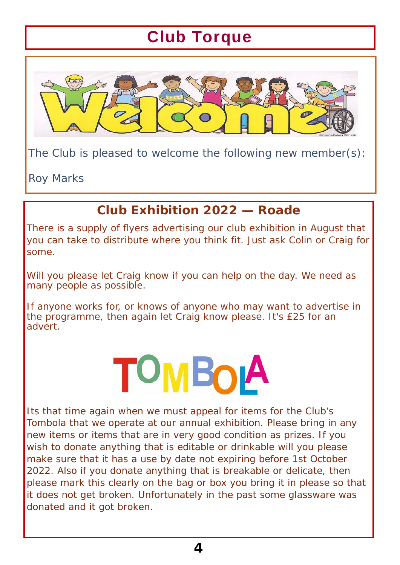## Club Torque



The Club is pleased to welcome the following new member(s):

Roy Marks

#### **Club Exhibition 2022 — Roade**

There is a supply of flyers advertising our club exhibition in August that you can take to distribute where you think fit. Just ask Colin or Craig for some.

Will you please let Craig know if you can help on the day. We need as many people as possible.

If anyone works for, or knows of anyone who may want to advertise in the programme, then again let Craig know please. It's £25 for an advert.

# OMBOIA

Its that time again when we must appeal for items for the Club's Tombola that we operate at our annual exhibition. Please bring in any new items or items that are in very good condition as prizes. If you wish to donate anything that is editable or drinkable will you please make sure that it has a use by date not expiring before 1st October 2022. Also if you donate anything that is breakable or delicate, then please mark this clearly on the bag or box you bring it in please so that it does not get broken. Unfortunately in the past some glassware was donated and it got broken.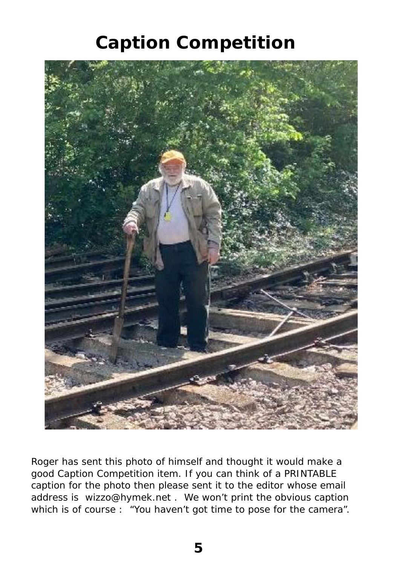## **Caption Competition**



Roger has sent this photo of himself and thought it would make a good Caption Competition item. If you can think of a PRINTABLE caption for the photo then please sent it to the editor whose email address is wizzo@hymek.net . We won't print the obvious caption which is of course : "You haven't got time to pose for the camera".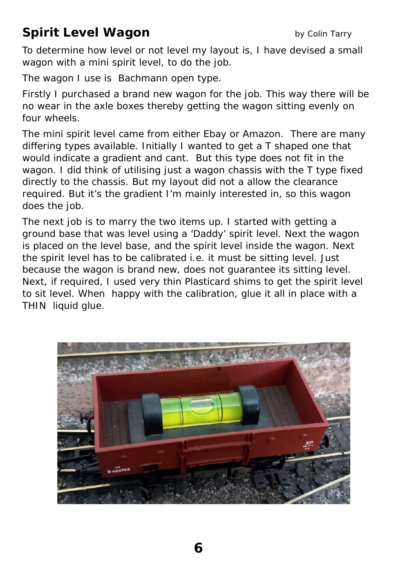## **Spirit Level Wagon by Colin Tarry**

To determine how level or not level my layout is, I have devised a small wagon with a mini spirit level, to do the job.

The wagon I use is Bachmann open type.

Firstly I purchased a brand new wagon for the job. This way there will be no wear in the axle boxes thereby getting the wagon sitting evenly on four wheels.

The mini spirit level came from either Ebay or Amazon. There are many differing types available. Initially I wanted to get a T shaped one that would indicate a gradient and cant. But this type does not fit in the wagon. I did think of utilising just a wagon chassis with the T type fixed directly to the chassis. But my layout did not a allow the clearance required. But it's the gradient I'm mainly interested in, so this wagon does the job.

The next job is to marry the two items up. I started with getting a ground base that was level using a 'Daddy' spirit level. Next the wagon is placed on the level base, and the spirit level inside the wagon. Next the spirit level has to be calibrated i.e. it must be sitting level. Just because the wagon is brand new, does not guarantee its sitting level. Next, if required, I used very thin Plasticard shims to get the spirit level to sit level. When happy with the calibration, glue it all in place with a THIN liquid glue.

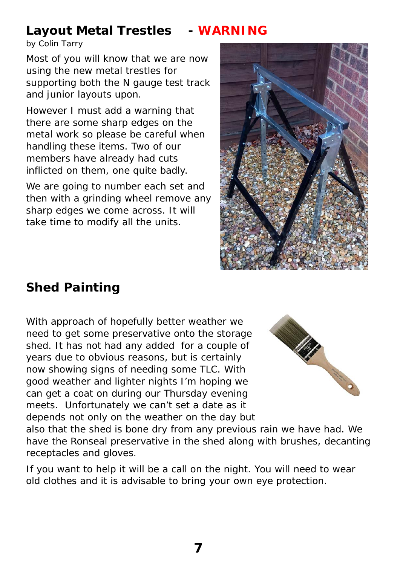#### **Layout Metal Trestles - WARNING**

by Colin Tarry

Most of you will know that we are now using the new metal trestles for supporting both the N gauge test track and junior layouts upon.

However I must add a warning that there are some sharp edges on the metal work so please be careful when handling these items. Two of our members have already had cuts inflicted on them, one quite badly.

We are going to number each set and then with a grinding wheel remove any sharp edges we come across. It will take time to modify all the units.



## **Shed Painting**

With approach of hopefully better weather we need to get some preservative onto the storage shed. It has not had any added for a couple of years due to obvious reasons, but is certainly now showing signs of needing some TLC. With good weather and lighter nights I'm hoping we can get a coat on during our Thursday evening meets. Unfortunately we can't set a date as it depends not only on the weather on the day but



also that the shed is bone dry from any previous rain we have had. We have the Ronseal preservative in the shed along with brushes, decanting receptacles and gloves.

If you want to help it will be a call on the night. You will need to wear old clothes and it is advisable to bring your own eye protection.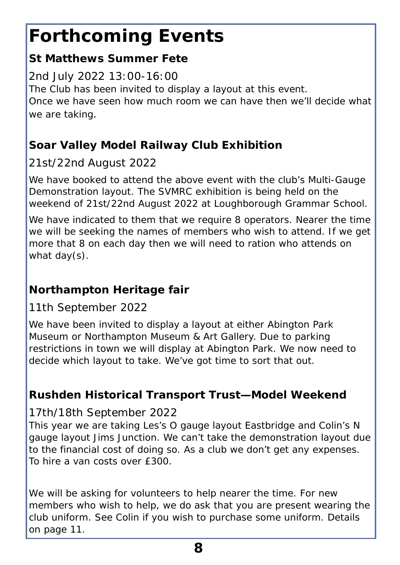## **Forthcoming Events**

#### **St Matthews Summer Fete**

#### 2nd July 2022 13:00-16:00

The Club has been invited to display a layout at this event. Once we have seen how much room we can have then we'll decide what we are taking.

#### **Soar Valley Model Railway Club Exhibition**

#### 21st/22nd August 2022

We have booked to attend the above event with the club's Multi-Gauge Demonstration layout. The SVMRC exhibition is being held on the weekend of 21st/22nd August 2022 at Loughborough Grammar School.

We have indicated to them that we require 8 operators. Nearer the time we will be seeking the names of members who wish to attend. If we get more that 8 on each day then we will need to ration who attends on what day(s).

#### **Northampton Heritage fair**

#### 11th September 2022

We have been invited to display a layout at either Abington Park Museum or Northampton Museum & Art Gallery. Due to parking restrictions in town we will display at Abington Park. We now need to decide which layout to take. We've got time to sort that out.

#### **Rushden Historical Transport Trust—Model Weekend**

#### 17th/18th September 2022

This year we are taking Les's O gauge layout Eastbridge and Colin's N gauge layout Jims Junction. We can't take the demonstration layout due to the financial cost of doing so. As a club we don't get any expenses. To hire a van costs over £300.

*We will be asking for volunteers to help nearer the time. For new members who wish to help, we do ask that you are present wearing the club uniform. See Colin if you wish to purchase some uniform. Details on page 11.*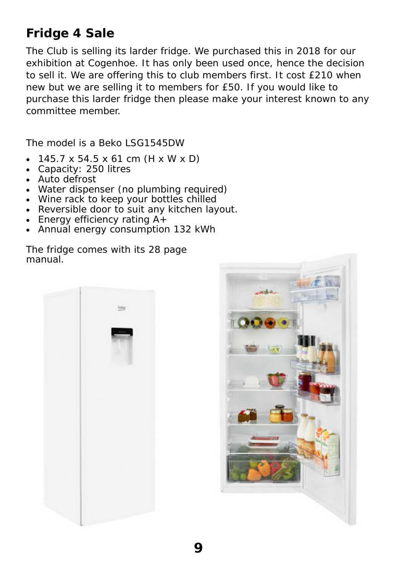#### **Fridge 4 Sale**

The Club is selling its larder fridge. We purchased this in 2018 for our exhibition at Cogenhoe. It has only been used once, hence the decision to sell it. We are offering this to club members first. It cost £210 when new but we are selling it to members for £50. If you would like to purchase this larder fridge then please make your interest known to any committee member.

The model is a Beko LSG1545DW

- 145.7 x 54.5 x 61 cm (H x W x D)
- Capacity: 250 litres
- Auto defrost
- Water dispenser (no plumbing required)
- Wine rack to keep your bottles chilled
- Reversible door to suit any kitchen layout.
- Energy efficiency rating  $A^+$
- Annual energy consumption 132 kWh

The fridge comes with its 28 page manual.



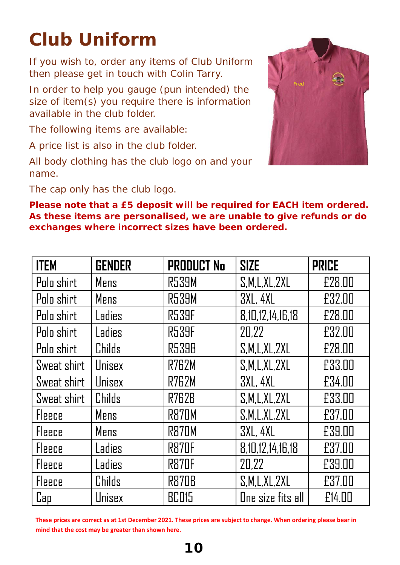# **Club Uniform**

If you wish to, order any items of Club Uniform then please get in touch with Colin Tarry.

In order to help you gauge (pun intended) the size of item(s) you require there is information available in the club folder.

The following items are available:

A price list is also in the club folder.

All body clothing has the club logo on and your name.

The cap only has the club logo.

**Please note that a £5 deposit will be required for EACH item ordered. As these items are personalised, we are unable to give refunds or do exchanges where incorrect sizes have been ordered.** 

| <b>ITEM</b>   | <b>GENDER</b> | <b>PRODUCT No</b> | <b>SIZE</b>       | <b>PRICE</b> |
|---------------|---------------|-------------------|-------------------|--------------|
| Polo shirt    | Mens          | <b>R539M</b>      | S, M, L, XL, 2XL  | £28.00       |
| Polo shirt    | Mens          | <b>R539M</b>      | <b>3XL, 4XL</b>   | £32.00       |
| Polo shirt    | Ladies        | <b>R539F</b>      | 8,10,12,14,16,18  | £28.00       |
| Polo shirt    | Ladies        | <b>R539F</b>      | 20,22             | £32.00       |
| Polo shirt    | Childs        | <b>R539B</b>      | S.M.L.XL,ZXL      | £28.00       |
| Sweat shirt   | Unisex        | <b>R762M</b>      | S.M.L.XL,ZXL      | £33.00       |
| Sweat shirt   | Unisex        | R762M             | <b>3XL, 4XL</b>   | £34.00       |
| Sweat shirt   | Childs        | <b>R762B</b>      | S, M, L, XL, 2XL  | £33.00       |
| Fleece        | Mens          | <b>R870M</b>      | S,M,L,XL,ZXL      | £37 00       |
| Fleece        | Mens          | R870M             | <b>3XL, 4XL</b>   | £39.00       |
| Fleece        | Ladies        | <b>R870F</b>      | 8,10,12,14,16,18  | £37.00       |
| <b>Fleece</b> | Ladies        | <b>R870F</b>      | 20,22             | £39.00       |
| Fleece        | Childs        | <b>R870B</b>      | S, M, L, XL, 2XL  | £37.00       |
| Cap           | Unisex        | <b>BC015</b>      | One size fits all | £14.00       |

**These prices are correct as at 1st December 2021. These prices are subject to change. When ordering please bear in mind that the cost may be greater than shown here.**